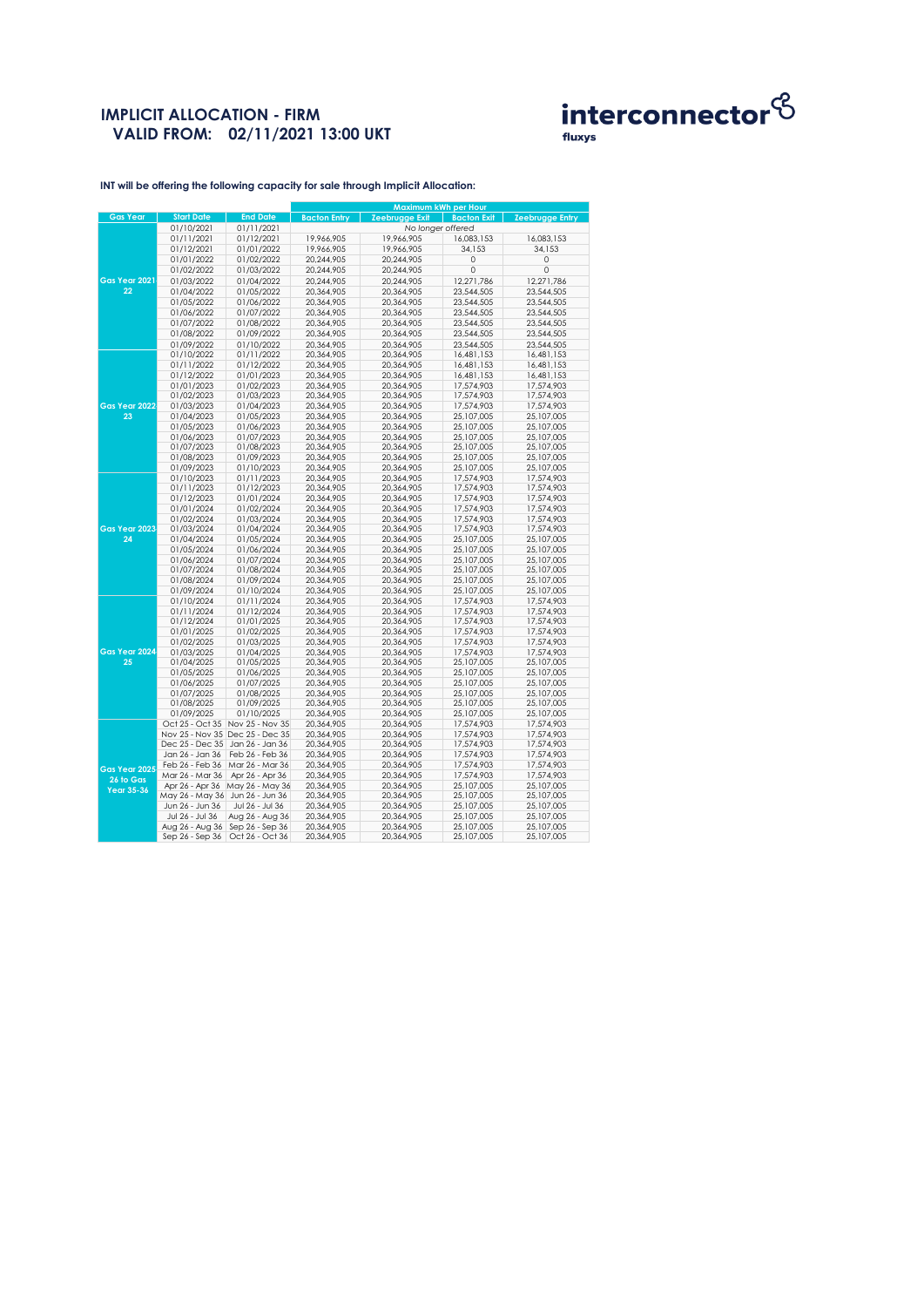# **IMPLICIT ALLOCATION - FIRM VALID FROM: 02/11/2021 13:00 UKT**



fluxys

**INT will be offering the following capacity for sale through Implicit Allocation:** 

|                 |                                   |                                 | Maximum kWh per Hour     |                          |                          |                          |
|-----------------|-----------------------------------|---------------------------------|--------------------------|--------------------------|--------------------------|--------------------------|
| <b>Gas Year</b> | <b>Start Date</b>                 | <b>End Date</b>                 | <b>Bacton Entry</b>      | Zeebrugge Exit           | <b>Bacton Exit</b>       | <b>Zeebrugge Entry</b>   |
|                 | 01/10/2021                        | 01/11/2021                      |                          | No longer offered        |                          |                          |
|                 | 01/11/2021                        | 01/12/2021                      | 19,966,905               | 19,966,905               | 16,083,153               | 16,083,153               |
|                 | 01/12/2021                        | 01/01/2022                      | 19,966,905               | 19,966,905               | 34,153                   | 34,153                   |
|                 | 01/01/2022                        | 01/02/2022                      | 20,244,905               | 20,244,905               | 0                        | $\circ$                  |
|                 | 01/02/2022                        | 01/03/2022                      | 20,244,905               | 20,244,905               | 0                        | 0                        |
| Gas Year 2021   | 01/03/2022                        | 01/04/2022                      | 20,244,905               | 20,244,905               | 12,271,786               | 12,271,786               |
| 22              | 01/04/2022                        | 01/05/2022                      | 20,364,905               | 20,364,905               | 23,544,505               | 23,544,505               |
|                 | 01/05/2022                        | 01/06/2022                      | 20,364,905               | 20,364,905               | 23,544,505               | 23,544,505               |
|                 | 01/06/2022                        | 01/07/2022                      | 20,364,905               | 20,364,905               | 23,544,505               | 23,544,505               |
|                 | 01/07/2022                        | 01/08/2022                      | 20,364,905               | 20,364,905               | 23,544,505               | 23,544,505               |
|                 | 01/08/2022                        | 01/09/2022                      | 20,364,905               | 20,364,905               | 23,544,505               | 23,544,505               |
|                 | 01/09/2022                        | 01/10/2022                      | 20,364,905               | 20,364,905               | 23,544,505               | 23,544,505               |
|                 | 01/10/2022                        | 01/11/2022                      | 20,364,905               | 20,364,905               | 16,481,153               | 16,481,153               |
|                 | 01/11/2022                        | 01/12/2022                      | 20.364.905               | 20,364,905               | 16,481,153               | 16,481,153               |
|                 | 01/12/2022                        | 01/01/2023                      | 20,364,905               | 20,364,905               | 16,481,153               | 16,481,153               |
|                 | 01/01/2023                        | 01/02/2023                      | 20,364,905               | 20,364,905               | 17,574,903               | 17,574,903               |
|                 | 01/02/2023                        | 01/03/2023                      | 20,364,905               | 20,364,905               | 17,574,903               | 17,574,903               |
| Gas Year 2022   | 01/03/2023                        | 01/04/2023                      | 20,364,905               | 20,364,905               | 17,574,903               | 17,574,903               |
| 23              | 01/04/2023                        | 01/05/2023                      | 20,364,905               | 20,364,905               | 25,107,005               | 25,107,005               |
|                 | 01/05/2023                        | 01/06/2023                      | 20,364,905               | 20,364,905               | 25,107,005               | 25,107,005               |
|                 | 01/06/2023                        | 01/07/2023                      | 20,364,905               | 20,364,905               | 25,107,005               | 25,107,005               |
|                 | 01/07/2023                        | 01/08/2023                      | 20,364,905               | 20,364,905               | 25,107,005               | 25,107,005               |
|                 | 01/08/2023                        | 01/09/2023                      | 20,364,905               | 20,364,905               | 25,107,005               | 25,107,005               |
|                 | 01/09/2023                        | 01/10/2023                      | 20,364,905               | 20,364,905               | 25,107,005               | 25,107,005               |
|                 | 01/10/2023                        | 01/11/2023                      | 20,364,905               | 20,364,905               | 17,574,903               | 17,574,903               |
|                 | 01/11/2023                        | 01/12/2023                      | 20,364,905               | 20,364,905               | 17,574,903               | 17,574,903               |
|                 | 01/12/2023                        | 01/01/2024                      | 20,364,905               | 20,364,905               | 17,574,903               | 17,574,903               |
|                 | 01/01/2024                        | 01/02/2024                      | 20,364,905               | 20,364,905               | 17,574,903               | 17,574,903               |
|                 | 01/02/2024                        | 01/03/2024                      | 20,364,905               | 20,364,905               | 17,574,903               | 17,574,903               |
| Gas Year 2023   | 01/03/2024                        | 01/04/2024                      | 20,364,905               | 20,364,905               | 17,574,903               | 17,574,903               |
| 24              | 01/04/2024                        | 01/05/2024                      | 20,364,905               | 20,364,905               | 25,107,005               | 25,107,005               |
|                 | 01/05/2024                        | 01/06/2024                      | 20,364,905               | 20,364,905               | 25,107,005               | 25,107,005               |
|                 | 01/06/2024                        | 01/07/2024                      | 20,364,905               | 20,364,905               | 25,107,005               | 25,107,005               |
|                 | 01/07/2024                        | 01/08/2024                      | 20,364,905               | 20,364,905               | 25,107,005               | 25,107,005               |
|                 | 01/08/2024                        | 01/09/2024                      | 20,364,905               | 20,364,905               | 25,107,005               | 25,107,005               |
|                 | 01/09/2024<br>01/10/2024          | 01/10/2024<br>01/11/2024        | 20,364,905<br>20,364,905 | 20,364,905<br>20,364,905 | 25,107,005<br>17,574,903 | 25,107,005<br>17,574,903 |
|                 | 01/11/2024                        | 01/12/2024                      | 20,364,905               | 20,364,905               | 17,574,903               | 17,574,903               |
|                 | 01/12/2024                        | 01/01/2025                      | 20,364,905               | 20,364,905               | 17,574,903               | 17,574,903               |
|                 | 01/01/2025                        | 01/02/2025                      | 20,364,905               | 20,364,905               | 17,574,903               | 17,574,903               |
|                 | 01/02/2025                        | 01/03/2025                      | 20,364,905               | 20,364,905               | 17,574,903               | 17,574,903               |
| Gas Year 2024   | 01/03/2025                        | 01/04/2025                      | 20,364,905               | 20,364,905               | 17,574,903               | 17,574,903               |
| 25              | 01/04/2025                        | 01/05/2025                      | 20,364,905               | 20,364,905               | 25,107,005               | 25,107,005               |
|                 | 01/05/2025                        | 01/06/2025                      | 20,364,905               | 20,364,905               | 25,107,005               | 25,107,005               |
|                 | 01/06/2025                        | 01/07/2025                      | 20,364,905               | 20,364,905               | 25,107,005               | 25,107,005               |
|                 | 01/07/2025                        | 01/08/2025                      | 20,364,905               | 20,364,905               | 25,107,005               | 25,107,005               |
|                 | 01/08/2025                        | 01/09/2025                      | 20,364,905               | 20,364,905               | 25,107,005               | 25,107,005               |
|                 | 01/09/2025                        | 01/10/2025                      | 20,364,905               | 20,364,905               | 25,107,005               | 25,107,005               |
|                 |                                   | Oct 25 - Oct 35 Nov 25 - Nov 35 | 20,364,905               | 20,364,905               | 17,574,903               | 17,574,903               |
|                 |                                   | Nov 25 - Nov 35 Dec 25 - Dec 35 | 20,364,905               | 20,364,905               | 17,574,903               | 17,574,903               |
|                 | Dec 25 - Dec 35                   | Jan 26 - Jan 36                 | 20,364,905               | 20,364,905               | 17,574,903               | 17,574,903               |
|                 | Jan 26 - Jan 36                   | Feb 26 - Feb 36                 | 20,364,905               | 20,364,905               | 17,574,903               | 17,574,903               |
| Gas Year 2025   | Feb 26 - Feb 36                   | Mar 26 - Mar 36                 | 20,364,905               | 20,364,905               | 17,574,903               | 17,574,903               |
| 26 to Gas       | Mar 26 - Mar 36                   | Apr 26 - Apr 36                 | 20,364,905               | 20,364,905               | 17,574,903               | 17,574,903               |
| Year 35-36      |                                   | Apr 26 - Apr 36 May 26 - May 36 | 20,364,905               | 20,364,905               | 25,107,005               | 25,107,005               |
|                 | May 26 - May 36 Jun 26 - Jun 36   |                                 | 20,364,905               | 20,364,905               | 25,107,005               | 25,107,005               |
|                 | Jun 26 - Jun 36                   | Jul 26 - Jul 36                 | 20,364,905               | 20,364,905               | 25,107,005               | 25,107,005               |
|                 | Jul 26 - Jul 36                   | Aug 26 - Aug 36                 | 20,364,905               | 20,364,905               | 25,107,005               | 25,107,005               |
|                 | Aug 26 - Aug 36   Sep 26 - Sep 36 |                                 | 20,364,905               | 20,364,905               | 25,107,005               | 25,107,005               |
|                 | Sep $26 -$ Sep $36$               | Oct 26 - Oct 36                 | 20,364,905               | 20,364,905               | 25,107,005               | 25,107,005               |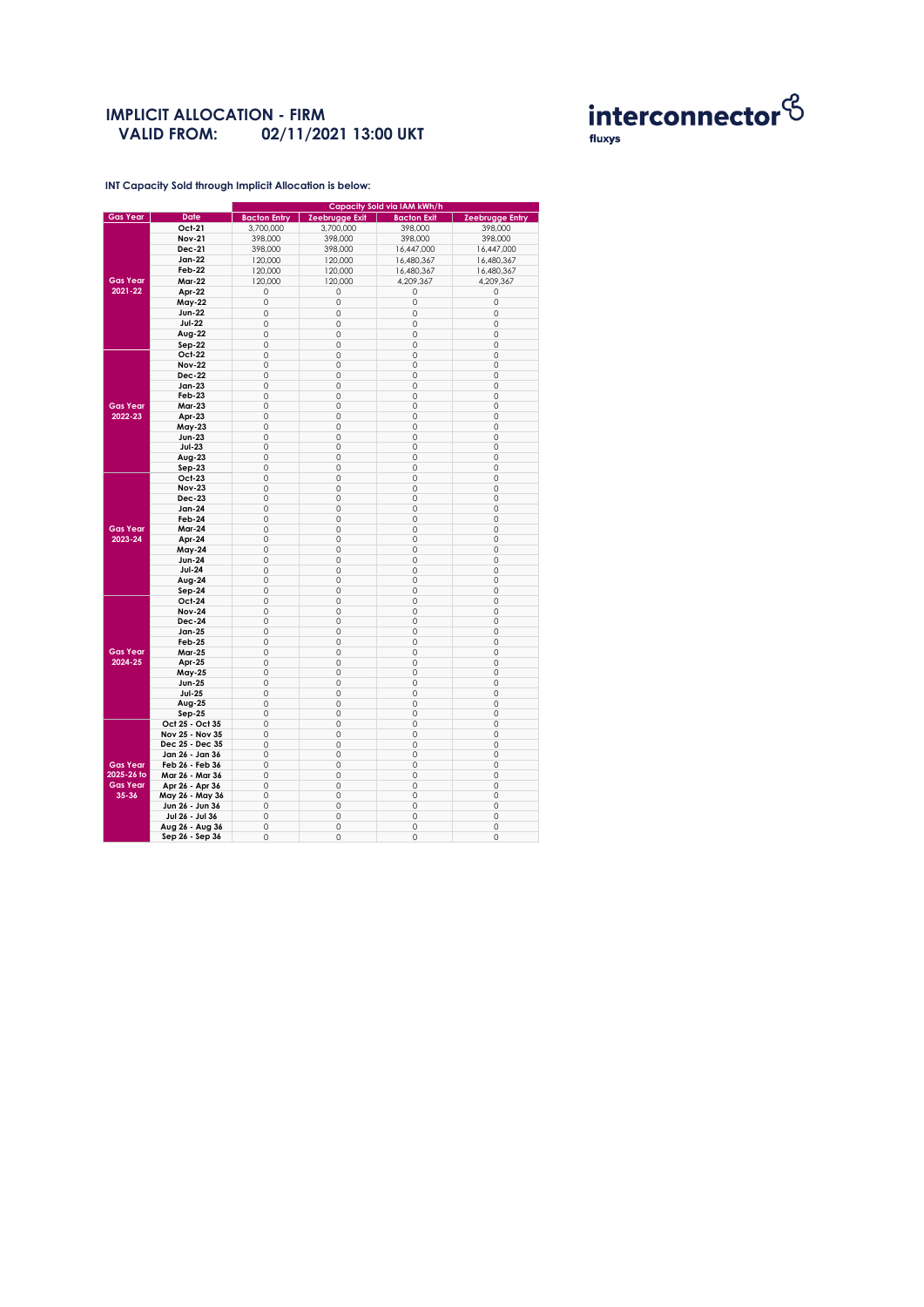#### **IMPLICIT ALLOCATION - FIRM 02/11/2021 13:00 UKT VALID FROM:**



**INT Capacity Sold through Implicit Allocation is below:** 

|                 |                 | Capacity Sold via IAM kWh/h |                       |                    |                        |  |  |  |
|-----------------|-----------------|-----------------------------|-----------------------|--------------------|------------------------|--|--|--|
| <b>Gas Year</b> | <b>Date</b>     | <b>Bacton Entry</b>         | <b>Zeebrugge Exit</b> | <b>Bacton Exit</b> | <b>Zeebrugge Entry</b> |  |  |  |
|                 | Oct-21          | 3,700,000                   | 3,700,000             | 398,000            | 398,000                |  |  |  |
|                 | <b>Nov-21</b>   | 398,000                     | 398,000               | 398,000            | 398,000                |  |  |  |
|                 | <b>Dec-21</b>   | 398,000                     | 398,000               | 16,447,000         | 16,447,000             |  |  |  |
|                 | Jan-22          | 120,000                     | 120,000               | 16,480,367         | 16,480,367             |  |  |  |
|                 | Feb-22          | 120,000                     | 120,000               | 16,480,367         | 16,480,367             |  |  |  |
| <b>Gas Year</b> |                 |                             |                       |                    |                        |  |  |  |
| 2021-22         | <b>Mar-22</b>   | 120,000                     | 120,000               | 4,209,367          | 4,209,367              |  |  |  |
|                 | Apr-22          | 0                           | 0                     | 0                  | 0                      |  |  |  |
|                 | May-22          | 0                           | 0                     | 0                  | 0                      |  |  |  |
|                 | <b>Jun-22</b>   | 0                           | $\mathbf 0$           | $\circ$            | $\mathbf 0$            |  |  |  |
|                 | <b>Jul-22</b>   | 0                           | $\mathbf 0$           | 0                  | 0                      |  |  |  |
|                 | Aug-22          | 0                           | $\mathbf 0$           | 0                  | $\mathbf 0$            |  |  |  |
|                 | $Sep-22$        | $\Omega$                    | $\Omega$              | $\Omega$           | $\Omega$               |  |  |  |
|                 | Oct-22          | 0                           | 0                     | 0                  | 0                      |  |  |  |
|                 | <b>Nov-22</b>   | 0                           | $\mathbf 0$           | $\circ$            | $\mathbf 0$            |  |  |  |
|                 | Dec-22          | 0                           | 0                     | 0                  | 0                      |  |  |  |
|                 | $Jan-23$        | $\Omega$                    | $\mathbf 0$           | 0                  | $\mathbf 0$            |  |  |  |
|                 | <b>Feb-23</b>   | 0                           | 0                     | 0                  | 0                      |  |  |  |
| <b>Gas Year</b> | <b>Mar-23</b>   | 0                           | $\mathbf 0$           | 0                  | 0                      |  |  |  |
| 2022-23         | Apr-23          | 0                           | 0                     | 0                  | $\circ$                |  |  |  |
|                 | May-23          | 0                           | $\mathbf 0$           | $\circ$            | $\mathbf 0$            |  |  |  |
|                 | Jun-23          | 0                           | 0                     | 0                  | 0                      |  |  |  |
|                 | <b>Jul-23</b>   | 0                           | $\mathbf 0$           | $\circ$            | $\mathbf 0$            |  |  |  |
|                 |                 |                             |                       |                    |                        |  |  |  |
|                 | Aug-23          | 0                           | 0                     | 0                  | 0                      |  |  |  |
|                 | $Sep-23$        | 0                           | $\mathbf 0$           | $\circ$            | $\mathbf 0$            |  |  |  |
|                 | Oct-23          | 0                           | 0                     | 0                  | 0                      |  |  |  |
|                 | <b>Nov-23</b>   | 0                           | $\mathbf 0$           | 0                  | 0                      |  |  |  |
|                 | Dec-23          | 0                           | 0                     | 0                  | $\mathbf 0$            |  |  |  |
|                 | Jan-24          | 0                           | $\mathbf 0$           | $\circ$            | $\mathbf 0$            |  |  |  |
|                 | Feb-24          | $\circ$                     | 0                     | 0                  | 0                      |  |  |  |
| <b>Gas Year</b> | Mar-24          | $\Omega$                    | $\Omega$              | $\circ$            | $\Omega$               |  |  |  |
| 2023-24         | Apr-24          | 0                           | 0                     | 0                  | 0                      |  |  |  |
|                 | <b>May-24</b>   | 0                           | $\mathbf 0$           | 0                  | $\mathbf 0$            |  |  |  |
|                 | <b>Jun-24</b>   | 0                           | 0                     | 0                  | 0                      |  |  |  |
|                 | <b>Jul-24</b>   | $\circ$                     | $\mathbf 0$           | $\circ$            | $\mathbf 0$            |  |  |  |
|                 | Aug-24          | 0                           | 0                     | 0                  | $\mathbf 0$            |  |  |  |
|                 | $Sep-24$        | 0                           | 0                     | 0                  | 0                      |  |  |  |
|                 | Oct-24          | 0                           | 0                     | 0                  | 0                      |  |  |  |
|                 | <b>Nov-24</b>   | 0                           | $\mathbf 0$           | 0                  | 0                      |  |  |  |
|                 | Dec-24          | 0                           | 0                     | 0                  | $\mathbf 0$            |  |  |  |
|                 | Jan-25          | 0                           | 0                     | 0                  | $\mathbf 0$            |  |  |  |
|                 | <b>Feb-25</b>   | 0                           | 0                     | 0                  | 0                      |  |  |  |
| <b>Gas Year</b> | <b>Mar-25</b>   | 0                           | 0                     | 0                  | 0                      |  |  |  |
| 2024-25         | Apr-25          | 0                           | 0                     | 0                  | 0                      |  |  |  |
|                 | <b>May-25</b>   | 0                           | $\mathbf 0$           | 0                  | $\mathbf 0$            |  |  |  |
|                 | <b>Jun-25</b>   | $\circ$                     | $\mathbf 0$           | $\circ$            | $\mathbf 0$            |  |  |  |
|                 | <b>Jul-25</b>   | 0                           | 0                     | 0                  | 0                      |  |  |  |
|                 | Aug-25          | 0                           | $\mathbf 0$           | 0                  | $\mathbf 0$            |  |  |  |
|                 | $Sep-25$        | 0                           | $\mathbf 0$           | 0                  | 0                      |  |  |  |
|                 | Oct 25 - Oct 35 | 0                           | $\mathbf 0$           | $\circ$            | 0                      |  |  |  |
|                 | Nov 25 - Nov 35 | $\circ$                     | $\mathbf 0$           | $\circ$            | $\mathbf 0$            |  |  |  |
|                 | Dec 25 - Dec 35 | 0                           | $\mathbf 0$           | $\circ$            | $\mathbf 0$            |  |  |  |
|                 |                 |                             |                       |                    |                        |  |  |  |
|                 | Jan 26 - Jan 36 | 0                           | $\mathbf 0$           | $\circ$            | $\mathbf 0$            |  |  |  |
| <b>Gas Year</b> | Feb 26 - Feb 36 | $\Omega$                    | $\Omega$              | $\Omega$           | $\Omega$               |  |  |  |
| 2025-26 to      | Mar 26 - Mar 36 | 0                           | 0                     | 0                  | 0                      |  |  |  |
| <b>Gas Year</b> | Apr 26 - Apr 36 | $\circ$                     | $\mathbf 0$           | 0                  | $\mathbf 0$            |  |  |  |
| $35 - 36$       | May 26 - May 36 | 0                           | 0                     | 0                  | 0                      |  |  |  |
|                 | Jun 26 - Jun 36 | $\Omega$                    | $\mathbf 0$           | 0                  | $\mathbf 0$            |  |  |  |
|                 | Jul 26 - Jul 36 | 0                           | 0                     | 0                  | 0                      |  |  |  |
|                 | Aug 26 - Aug 36 | 0                           | $\mathbf 0$           | $\circ$            | $\mathbf 0$            |  |  |  |
|                 | Sep 26 - Sep 36 | $\circ$                     | 0                     | 0                  | $\circ$                |  |  |  |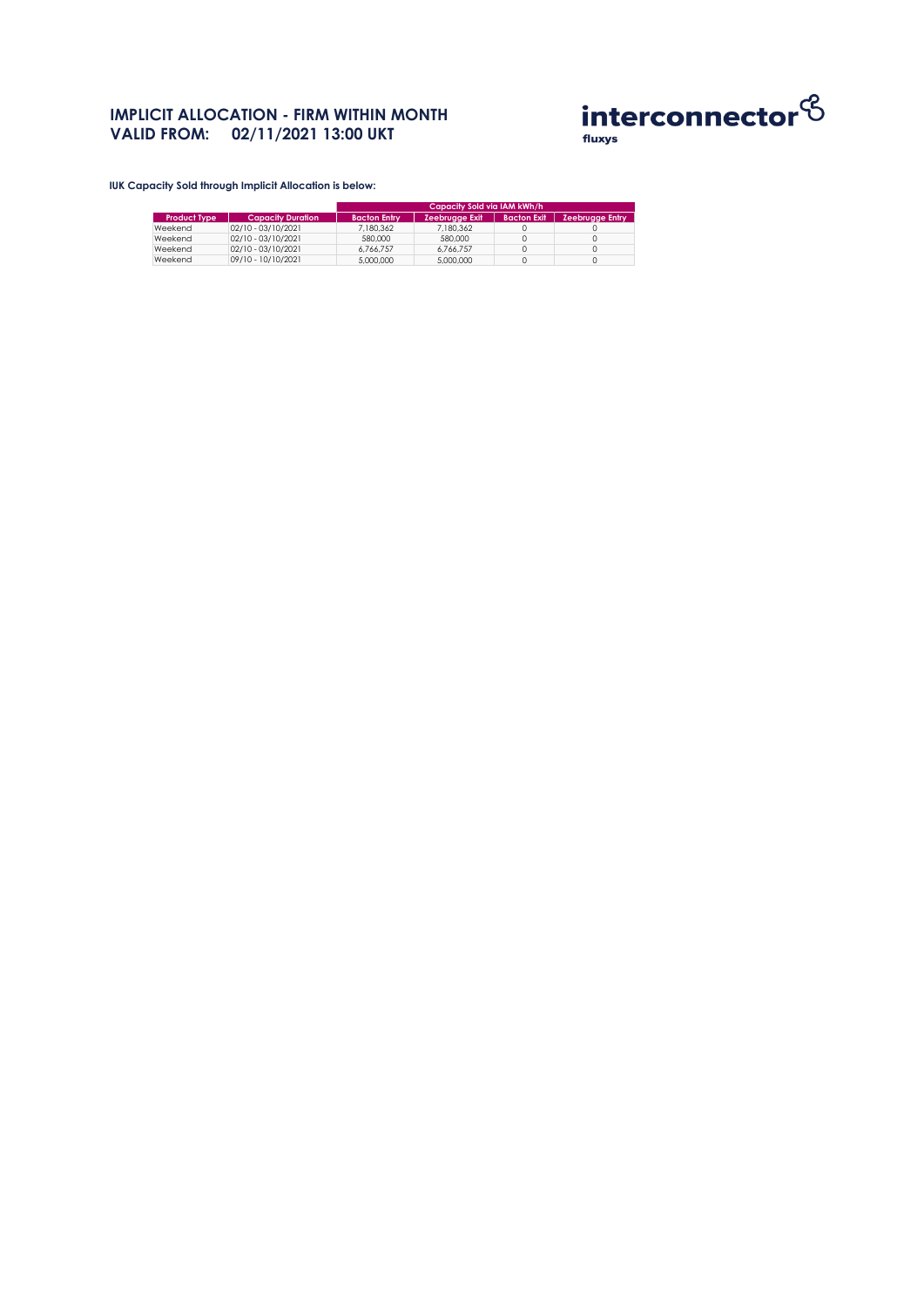## **IMPLICIT ALLOCATION - FIRM WITHIN MONTH VALID FROM: 02/11/2021 13:00 UKT**



**IUK Capacity Sold through Implicit Allocation is below:** 

|                     |                          | Capacity Sold via IAM kWh/h' |                       |                    |                        |  |
|---------------------|--------------------------|------------------------------|-----------------------|--------------------|------------------------|--|
| <b>Product Type</b> | <b>Capacity Duration</b> | <b>Bacton Entry</b>          | <b>Zeebrugge Exit</b> | <b>Bacton Exit</b> | <b>Zeebrugge Entry</b> |  |
| Weekend             | 02/10 - 03/10/2021       | 7.180.362                    | 7.180.362             |                    |                        |  |
| Weekend             | 02/10 - 03/10/2021       | 580.000                      | 580.000               |                    |                        |  |
| Weekend             | 02/10 - 03/10/2021       | 6.766.757                    | 6.766.757             |                    |                        |  |
| Weekend             | 09/10 - 10/10/2021       | 5,000,000                    | 5,000,000             |                    |                        |  |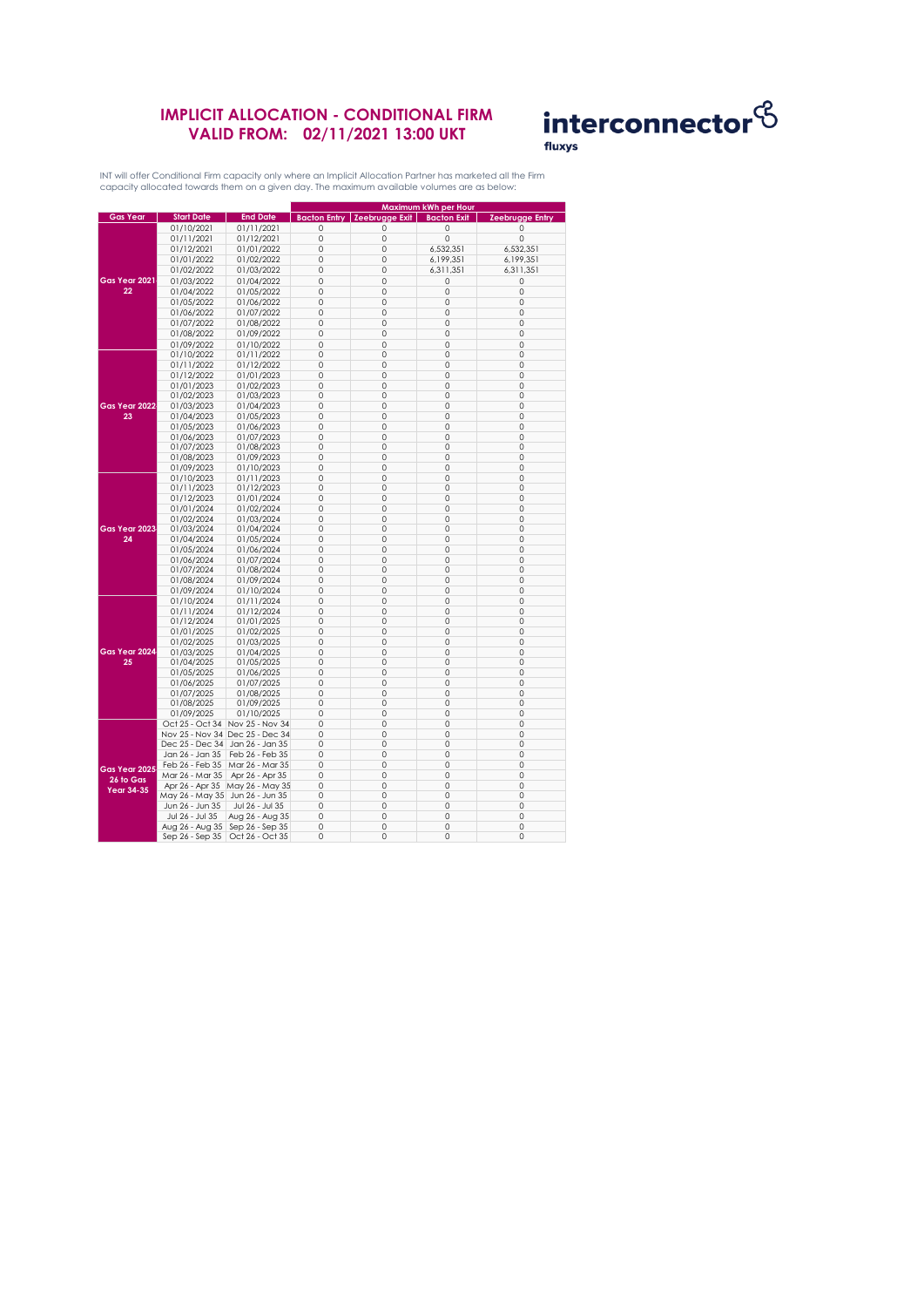## **IMPLICIT ALLOCATION - CONDITIONAL FIRM VALID FROM: 02/11/2021 13:00 UKT**



INT will offer Conditional Firm capacity only where an Implicit Allocation Partner has marketed all the Firm capacity allocated towards them on a given day. The maximum available volumes are as below:

|                                                     |                                   |                                 | Maximum kWh per Hour |                               |                    |                        |
|-----------------------------------------------------|-----------------------------------|---------------------------------|----------------------|-------------------------------|--------------------|------------------------|
| <b>Gas Year</b>                                     | <b>Start Date</b>                 | <b>End Date</b>                 |                      | Bacton Entry   Zeebrugge Exit | <b>Bacton Exit</b> | <b>Zeebrugge Entry</b> |
|                                                     | 01/10/2021                        | 01/11/2021                      | 0                    | 0                             | 0                  | 0                      |
|                                                     | 01/11/2021                        | 01/12/2021                      | $\mathbf 0$          | $\circ$                       | 0                  | 0                      |
|                                                     | 01/12/2021                        | 01/01/2022                      | $\circ$              | 0                             | 6,532,351          | 6,532,351              |
|                                                     |                                   |                                 | $\circ$              | 0                             |                    |                        |
| Gas Year 2021<br>22                                 | 01/01/2022                        | 01/02/2022                      |                      |                               | 6,199,351          | 6,199,351              |
|                                                     | 01/02/2022                        | 01/03/2022                      | $\mathbf 0$          | $\circ$                       | 6,311,351          | 6,311,351              |
|                                                     | 01/03/2022                        | 01/04/2022                      | $\circ$              | $\circ$                       | 0                  | 0                      |
|                                                     | 01/04/2022                        | 01/05/2022                      | 0                    | 0                             | 0                  | 0                      |
|                                                     | 01/05/2022                        | 01/06/2022                      | $\circ$              | 0                             | $\mathbf 0$        | $\circ$                |
|                                                     | 01/06/2022                        | 01/07/2022                      | $\mathbf 0$          | $\circ$                       | $\mathbf 0$        | $\circ$                |
|                                                     | 01/07/2022                        | 01/08/2022                      | $\circ$              | $\circ$                       | $\mathbf 0$        | $\mathbf 0$            |
|                                                     | 01/08/2022                        | 01/09/2022                      | 0                    | 0                             | 0                  | 0                      |
|                                                     | 01/09/2022                        | 01/10/2022                      | 0                    | $\circ$                       | $\mathbf 0$        | 0                      |
|                                                     | 01/10/2022                        | 01/11/2022                      | $\mathbf 0$          | 0                             | 0                  | $\circ$                |
|                                                     | 01/11/2022                        | 01/12/2022                      | $\circ$              | 0                             | $\mathbf 0$        | $\circ$                |
|                                                     | 01/12/2022                        | 01/01/2023                      | $\circ$              | 0                             | $\mathbf 0$        | $\circ$                |
|                                                     |                                   |                                 |                      | $\circ$                       |                    |                        |
|                                                     | 01/01/2023                        | 01/02/2023                      | $\circ$              |                               | $\mathbf 0$        | 0                      |
|                                                     | 01/02/2023                        | 01/03/2023                      | 0                    | 0                             | 0                  | 0                      |
| Gas Year 2022                                       | 01/03/2023                        | 01/04/2023                      | $\circ$              | 0                             | 0                  | $\circ$                |
| 23                                                  | 01/04/2023                        | 01/05/2023                      | $\mathbf 0$          | $\circ$                       | $\mathbf 0$        | $\mathbf 0$            |
|                                                     | 01/05/2023                        | 01/06/2023                      | $\circ$              | 0                             | $\mathbf 0$        | $\circ$                |
|                                                     | 01/06/2023                        | 01/07/2023                      | $\circ$              | 0                             | $\mathbf 0$        | 0                      |
|                                                     | 01/07/2023                        | 01/08/2023                      | 0                    | 0                             | $\mathbf 0$        | 0                      |
|                                                     | 01/08/2023                        | 01/09/2023                      | $\circ$              | 0                             | 0                  | $\circ$                |
|                                                     | 01/09/2023                        | 01/10/2023                      | $\circ$              | 0                             | 0                  | $\circ$                |
|                                                     | 01/10/2023                        | 01/11/2023                      | $\circ$              | 0                             | 0                  | $\circ$                |
|                                                     | 01/11/2023                        | 01/12/2023                      | $\circ$              | 0                             | 0                  | 0                      |
|                                                     | 01/12/2023                        | 01/01/2024                      | 0                    | 0                             | 0                  | 0                      |
|                                                     | 01/01/2024                        | 01/02/2024                      | $\mathbf 0$          | 0                             | $\mathbf 0$        | $\circ$                |
|                                                     | 01/02/2024                        | 01/03/2024                      | $\circ$              | 0                             | 0                  | $\circ$                |
| Gas Year 2023                                       | 01/03/2024                        | 01/04/2024                      | $\circ$              | 0                             | 0                  | $\circ$                |
| 24                                                  | 01/04/2024                        | 01/05/2024                      | $\Omega$             | $\Omega$                      | $\Omega$           | $\Omega$               |
|                                                     | 01/05/2024                        | 01/06/2024                      | $\Omega$             | 0                             | 0                  | $\Omega$               |
|                                                     | 01/06/2024                        | 01/07/2024                      | $\circ$              | 0                             | 0                  | 0                      |
|                                                     | 01/07/2024                        | 01/08/2024                      | $\circ$              | 0                             | 0                  | $\circ$                |
|                                                     | 01/08/2024                        | 01/09/2024                      | $\circ$              | 0                             | 0                  | $\circ$                |
|                                                     | 01/09/2024                        | 01/10/2024                      | $\Omega$             | 0                             | 0                  | 0                      |
|                                                     | 01/10/2024                        | 01/11/2024                      | $\mathbf 0$          | $\circ$                       | $\mathbf 0$        | $\mathbf 0$            |
|                                                     | 01/11/2024                        | 01/12/2024                      | $\circ$              | 0                             | 0                  | 0                      |
|                                                     | 01/12/2024                        | 01/01/2025                      | $\circ$              | 0                             | 0                  | 0                      |
|                                                     | 01/01/2025                        | 01/02/2025                      | $\mathbf 0$          | 0                             | $\circ$            | $\mathbf 0$            |
|                                                     | 01/02/2025                        | 01/03/2025                      | $\Omega$             | 0                             | 0                  | $\Omega$               |
| Gas Year 2024                                       |                                   |                                 | $\circ$              |                               |                    | $\circ$                |
| 25                                                  | 01/03/2025                        | 01/04/2025                      | $\circ$              | 0<br>0                        | 0<br>0             | $\circ$                |
|                                                     | 01/04/2025                        | 01/05/2025                      |                      |                               |                    |                        |
|                                                     | 01/05/2025                        | 01/06/2025                      | $\Omega$             | $\circ$                       | $\mathbf 0$        | $\Omega$               |
|                                                     | 01/06/2025                        | 01/07/2025                      | 0                    | 0                             | 0                  | 0                      |
|                                                     | 01/07/2025                        | 01/08/2025                      | $\circ$              | $\circ$                       | $\mathbf 0$        | $\mathbf 0$            |
|                                                     | 01/08/2025                        | 01/09/2025                      | $\mathbf 0$          | $\circ$                       | $\mathbf 0$        | $\mathbf 0$            |
|                                                     | 01/09/2025                        | 01/10/2025                      | $\circ$              | 0                             | 0                  | $\circ$                |
| Gas Year 2025<br>$26$ to $Gas$<br><b>Year 34-35</b> |                                   | Oct 25 - Oct 34 Nov 25 - Nov 34 | $\circ$              | 0                             | 0                  | 0                      |
|                                                     | Nov 25 - Nov 34 Dec 25 - Dec 34   |                                 | $\circ$              | 0                             | 0                  | $\circ$                |
|                                                     | Dec 25 - Dec 34                   | Jan 26 - Jan 35                 | $\circ$              | 0                             | 0                  | $\circ$                |
|                                                     | Jan 26 - Jan 35                   | Feb 26 - Feb 35                 | $\mathbf 0$          | 0                             | $\circ$            | $\circ$                |
|                                                     | Feb 26 - Feb 35                   | Mar 26 - Mar 35                 | $\Omega$             | $\Omega$                      | $\Omega$           | $\Omega$               |
|                                                     | Mar 26 - Mar 35                   | Apr 26 - Apr 35                 | $\circ$              | 0                             | 0                  | $\circ$                |
|                                                     | Apr 26 - Apr 35                   | May 26 - May 35                 | $\circ$              | 0                             | 0                  | $\circ$                |
|                                                     | May 26 - May 35 Jun 26 - Jun 35   |                                 | $\circ$              | $\circ$                       | 0                  | $\circ$                |
|                                                     | Jun 26 - Jun 35                   | Jul 26 - Jul 35                 | $\mathbb O$          | 0                             | 0                  | $\mathbb O$            |
|                                                     | Jul 26 - Jul 35                   | Aug 26 - Aug 35                 | $\circ$              | 0                             | 0                  | 0                      |
|                                                     | Aug 26 - Aug 35   Sep 26 - Sep 35 |                                 | $\Omega$             | $\circ$                       | $\mathbf 0$        | $\Omega$               |
|                                                     | Sep 26 - Sep 35                   | Oct 26 - Oct 35                 | 0                    | 0                             | 0                  | 0                      |